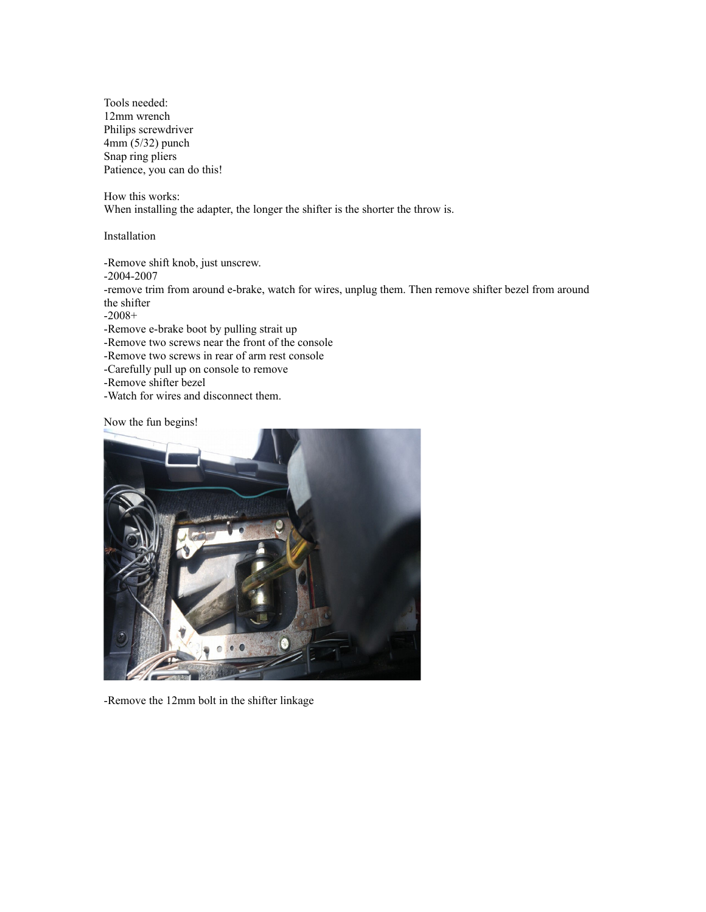Tools needed: 12mm wrench Philips screwdriver 4mm (5/32) punch Snap ring pliers Patience, you can do this!

How this works: When installing the adapter, the longer the shifter is the shorter the throw is.

Installation

-Remove shift knob, just unscrew.

-2004-2007

-remove trim from around e-brake, watch for wires, unplug them. Then remove shifter bezel from around the shifter

-2008+

-Remove e-brake boot by pulling strait up

-Remove two screws near the front of the console

-Remove two screws in rear of arm rest console

- -Carefully pull up on console to remove
- -Remove shifter bezel
- -Watch for wires and disconnect them.

Now the fun begins!



-Remove the 12mm bolt in the shifter linkage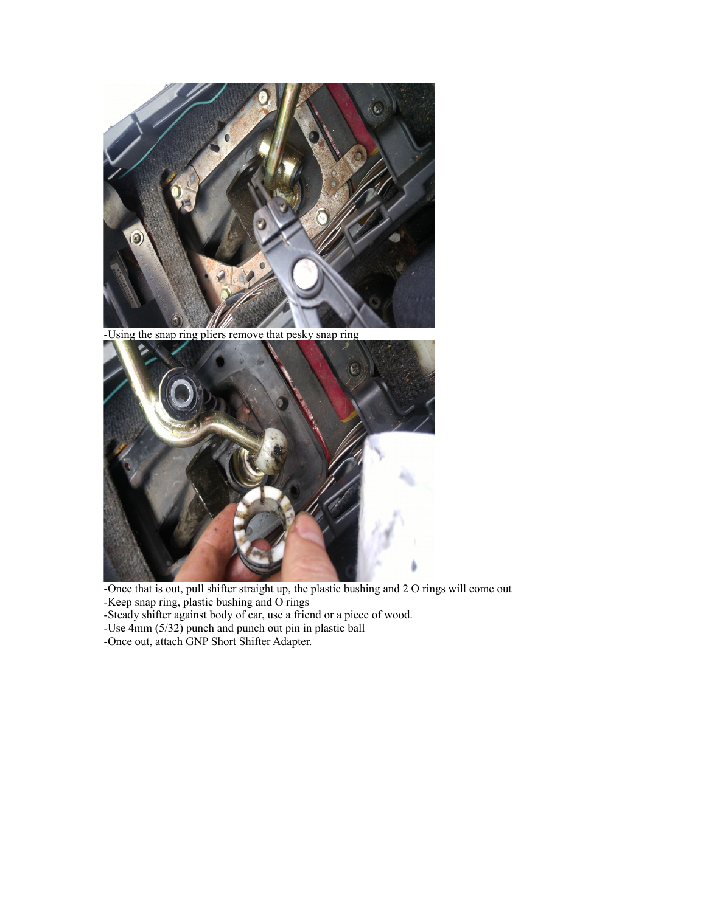

-Using the snap ring pliers remove that pesky snap ring



-Once that is out, pull shifter straight up, the plastic bushing and 2 O rings will come out -Keep snap ring, plastic bushing and O rings

-Steady shifter against body of car, use a friend or a piece of wood.

-Use 4mm (5/32) punch and punch out pin in plastic ball

-Once out, attach GNP Short Shifter Adapter.